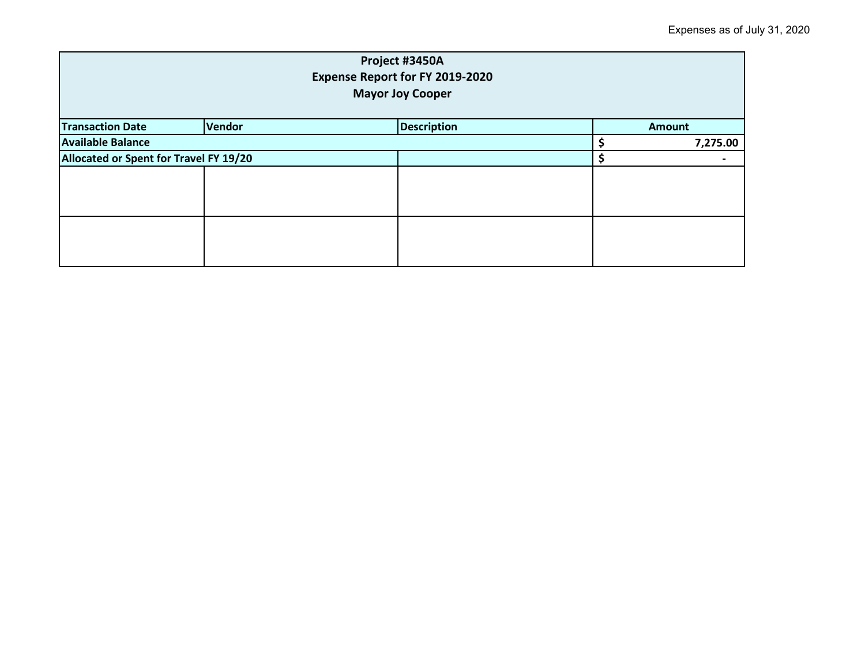| Project #3450A<br><b>Expense Report for FY 2019-2020</b><br><b>Mayor Joy Cooper</b> |        |                    |  |               |  |
|-------------------------------------------------------------------------------------|--------|--------------------|--|---------------|--|
| <b>Transaction Date</b>                                                             | Vendor | <b>Description</b> |  | <b>Amount</b> |  |
| <b>Available Balance</b>                                                            |        |                    |  | 7,275.00      |  |
| Allocated or Spent for Travel FY 19/20                                              |        |                    |  |               |  |
|                                                                                     |        |                    |  |               |  |
|                                                                                     |        |                    |  |               |  |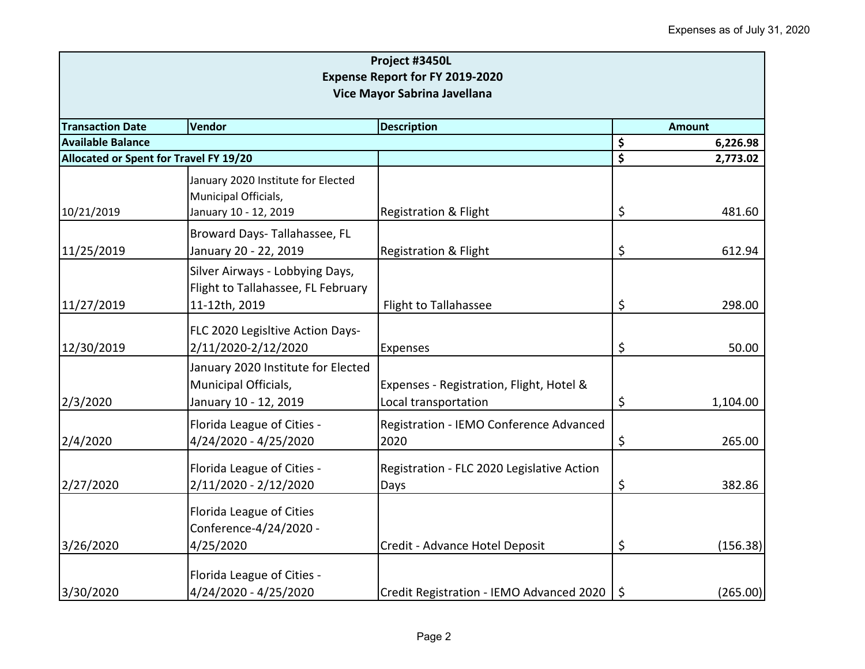| Project #3450L<br><b>Expense Report for FY 2019-2020</b><br>Vice Mayor Sabrina Javellana |                                                                                        |                                                                  |                    |          |  |
|------------------------------------------------------------------------------------------|----------------------------------------------------------------------------------------|------------------------------------------------------------------|--------------------|----------|--|
|                                                                                          |                                                                                        |                                                                  |                    |          |  |
| <b>Available Balance</b>                                                                 |                                                                                        |                                                                  | \$                 | 6,226.98 |  |
| Allocated or Spent for Travel FY 19/20                                                   |                                                                                        |                                                                  | $\mathsf{\hat{S}}$ | 2,773.02 |  |
|                                                                                          | January 2020 Institute for Elected<br>Municipal Officials,                             |                                                                  |                    |          |  |
| 10/21/2019                                                                               | January 10 - 12, 2019                                                                  | <b>Registration &amp; Flight</b>                                 | \$                 | 481.60   |  |
| 11/25/2019                                                                               | Broward Days- Tallahassee, FL<br>January 20 - 22, 2019                                 | <b>Registration &amp; Flight</b>                                 | \$                 | 612.94   |  |
| 11/27/2019                                                                               | Silver Airways - Lobbying Days,<br>Flight to Tallahassee, FL February<br>11-12th, 2019 | Flight to Tallahassee                                            | \$                 | 298.00   |  |
|                                                                                          |                                                                                        |                                                                  |                    |          |  |
| 12/30/2019                                                                               | FLC 2020 Legisltive Action Days-<br>2/11/2020-2/12/2020                                | Expenses                                                         | \$                 | 50.00    |  |
| 2/3/2020                                                                                 | January 2020 Institute for Elected<br>Municipal Officials,<br>January 10 - 12, 2019    | Expenses - Registration, Flight, Hotel &<br>Local transportation | \$                 | 1,104.00 |  |
| 2/4/2020                                                                                 | Florida League of Cities -<br>4/24/2020 - 4/25/2020                                    | Registration - IEMO Conference Advanced<br>2020                  | \$                 | 265.00   |  |
| 2/27/2020                                                                                | Florida League of Cities -<br>2/11/2020 - 2/12/2020                                    | Registration - FLC 2020 Legislative Action<br>Days               | \$                 | 382.86   |  |
|                                                                                          | Florida League of Cities<br>Conference-4/24/2020 -                                     |                                                                  |                    |          |  |
| 3/26/2020                                                                                | 4/25/2020                                                                              | Credit - Advance Hotel Deposit                                   | \$                 | (156.38) |  |
| 3/30/2020                                                                                | Florida League of Cities -<br>4/24/2020 - 4/25/2020                                    | Credit Registration - IEMO Advanced 2020                         | $\zeta$            | (265.00) |  |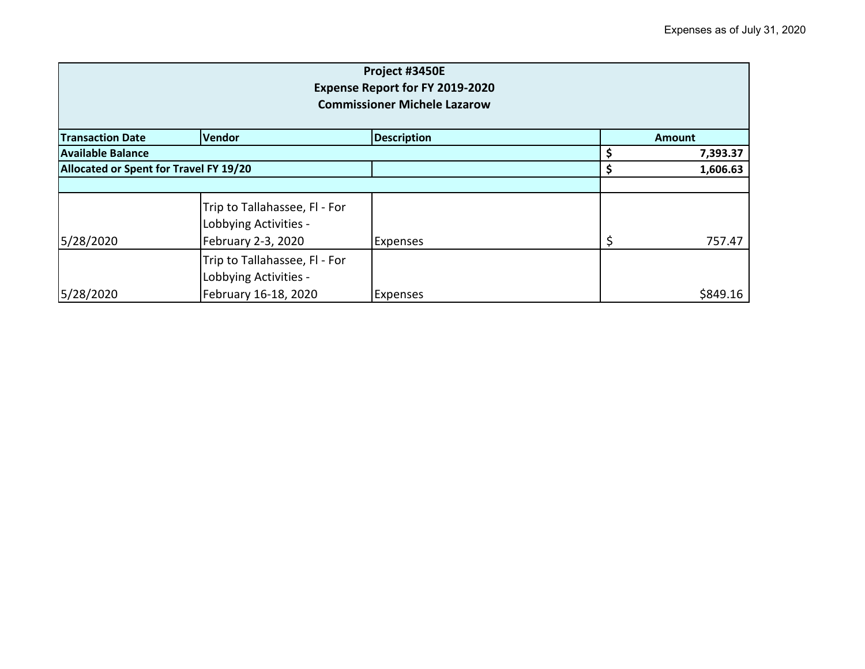| Project #3450E<br><b>Expense Report for FY 2019-2020</b><br><b>Commissioner Michele Lazarow</b> |                                                                                |                    |    |               |
|-------------------------------------------------------------------------------------------------|--------------------------------------------------------------------------------|--------------------|----|---------------|
| <b>Transaction Date</b>                                                                         | Vendor                                                                         | <b>Description</b> |    | <b>Amount</b> |
| <b>Available Balance</b>                                                                        |                                                                                |                    |    | 7,393.37      |
| Allocated or Spent for Travel FY 19/20                                                          |                                                                                |                    |    | 1,606.63      |
|                                                                                                 |                                                                                |                    |    |               |
| 5/28/2020                                                                                       | Trip to Tallahassee, Fl - For<br>Lobbying Activities -<br>February 2-3, 2020   | <b>Expenses</b>    | \$ | 757.47        |
| 5/28/2020                                                                                       | Trip to Tallahassee, Fl - For<br>Lobbying Activities -<br>February 16-18, 2020 | <b>Expenses</b>    |    | \$849.16      |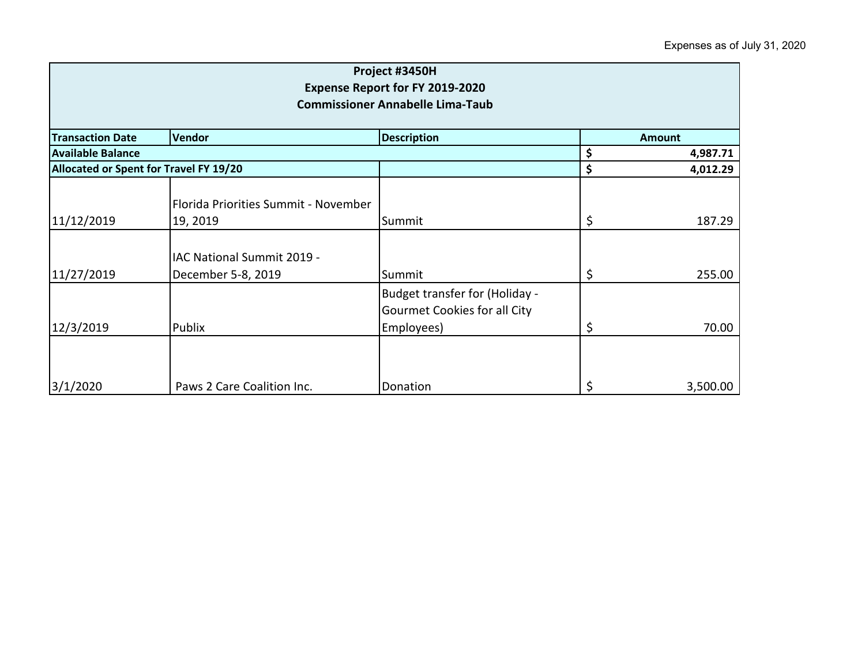| Project #3450H<br><b>Expense Report for FY 2019-2020</b><br><b>Commissioner Annabelle Lima-Taub</b> |                                                  |                                                                              |          |               |  |
|-----------------------------------------------------------------------------------------------------|--------------------------------------------------|------------------------------------------------------------------------------|----------|---------------|--|
| <b>Transaction Date</b>                                                                             | <b>Vendor</b>                                    | <b>Description</b>                                                           |          | <b>Amount</b> |  |
| <b>Available Balance</b>                                                                            |                                                  |                                                                              | \$       | 4,987.71      |  |
| Allocated or Spent for Travel FY 19/20                                                              |                                                  | \$                                                                           | 4,012.29 |               |  |
| 11/12/2019                                                                                          | Florida Priorities Summit - November<br>19, 2019 | Summit                                                                       | \$       | 187.29        |  |
| 11/27/2019                                                                                          | IAC National Summit 2019 -<br>December 5-8, 2019 | Summit                                                                       | \$       | 255.00        |  |
| 12/3/2019                                                                                           | Publix                                           | Budget transfer for (Holiday -<br>Gourmet Cookies for all City<br>Employees) | \$       | 70.00         |  |
| 3/1/2020                                                                                            | Paws 2 Care Coalition Inc.                       | Donation                                                                     | \$       | 3,500.00      |  |